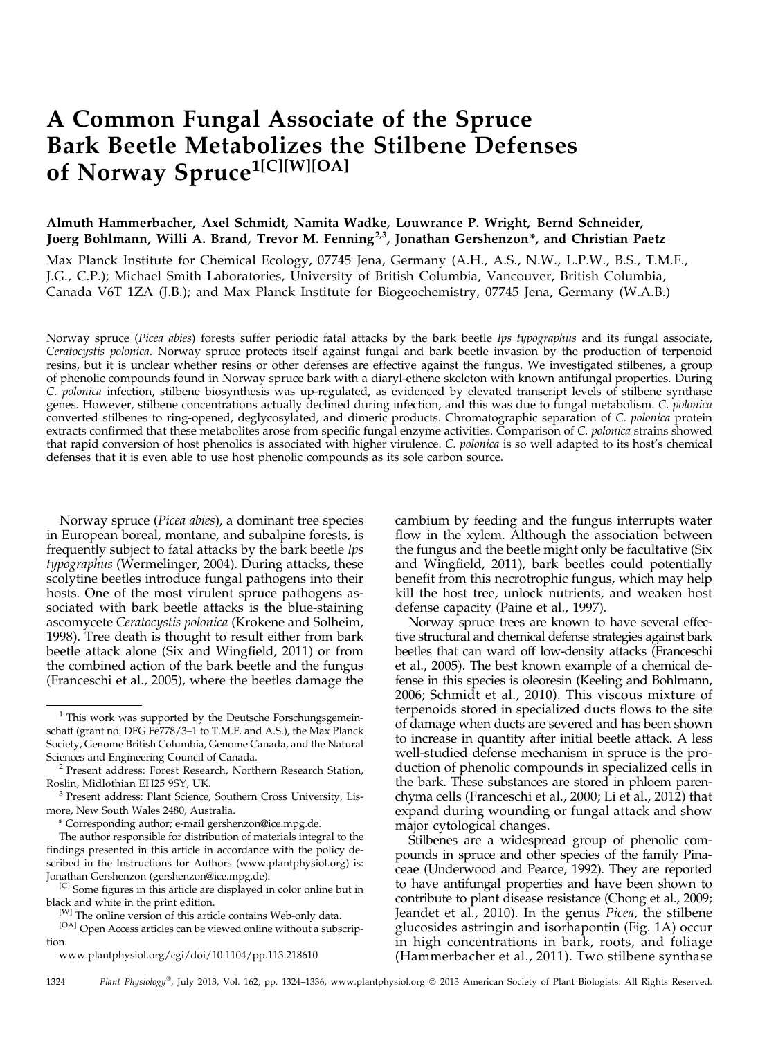# A Common Fungal Associate of the Spruce Bark Beetle Metabolizes the Stilbene Defenses of Norway Spruce<sup>1[C][W][OA]</sup>

# Almuth Hammerbacher, Axel Schmidt, Namita Wadke, Louwrance P. Wright, Bernd Schneider, Joerg Bohlmann, Willi A. Brand, Trevor M. Fenning<sup>2,3</sup>, Jonathan Gershenzon\*, and Christian Paetz

Max Planck Institute for Chemical Ecology, 07745 Jena, Germany (A.H., A.S., N.W., L.P.W., B.S., T.M.F., J.G., C.P.); Michael Smith Laboratories, University of British Columbia, Vancouver, British Columbia, Canada V6T 1ZA (J.B.); and Max Planck Institute for Biogeochemistry, 07745 Jena, Germany (W.A.B.)

Norway spruce (Picea abies) forests suffer periodic fatal attacks by the bark beetle Ips typographus and its fungal associate, Ceratocystis polonica. Norway spruce protects itself against fungal and bark beetle invasion by the production of terpenoid resins, but it is unclear whether resins or other defenses are effective against the fungus. We investigated stilbenes, a group of phenolic compounds found in Norway spruce bark with a diaryl-ethene skeleton with known antifungal properties. During C. polonica infection, stilbene biosynthesis was up-regulated, as evidenced by elevated transcript levels of stilbene synthase genes. However, stilbene concentrations actually declined during infection, and this was due to fungal metabolism. C. polonica converted stilbenes to ring-opened, deglycosylated, and dimeric products. Chromatographic separation of C. polonica protein extracts confirmed that these metabolites arose from specific fungal enzyme activities. Comparison of C. polonica strains showed that rapid conversion of host phenolics is associated with higher virulence. C. polonica is so well adapted to its host's chemical defenses that it is even able to use host phenolic compounds as its sole carbon source.

Norway spruce (Picea abies), a dominant tree species in European boreal, montane, and subalpine forests, is frequently subject to fatal attacks by the bark beetle Ips typographus (Wermelinger, 2004). During attacks, these scolytine beetles introduce fungal pathogens into their hosts. One of the most virulent spruce pathogens associated with bark beetle attacks is the blue-staining ascomycete Ceratocystis polonica (Krokene and Solheim, 1998). Tree death is thought to result either from bark beetle attack alone (Six and Wingfield, 2011) or from the combined action of the bark beetle and the fungus (Franceschi et al., 2005), where the beetles damage the

[C] Some figures in this article are displayed in color online but in black and white in the print edition.

[www.plantphysiol.org/cgi/doi/10.1104/pp.113.218610](http://www.plantphysiol.org/cgi/doi/10.1104/pp.113.218610)

cambium by feeding and the fungus interrupts water flow in the xylem. Although the association between the fungus and the beetle might only be facultative (Six and Wingfield, 2011), bark beetles could potentially benefit from this necrotrophic fungus, which may help kill the host tree, unlock nutrients, and weaken host defense capacity (Paine et al., 1997).

Norway spruce trees are known to have several effective structural and chemical defense strategies against bark beetles that can ward off low-density attacks (Franceschi et al., 2005). The best known example of a chemical defense in this species is oleoresin (Keeling and Bohlmann, 2006; Schmidt et al., 2010). This viscous mixture of terpenoids stored in specialized ducts flows to the site of damage when ducts are severed and has been shown to increase in quantity after initial beetle attack. A less well-studied defense mechanism in spruce is the production of phenolic compounds in specialized cells in the bark. These substances are stored in phloem parenchyma cells (Franceschi et al., 2000; Li et al., 2012) that expand during wounding or fungal attack and show major cytological changes.

Stilbenes are a widespread group of phenolic compounds in spruce and other species of the family Pinaceae (Underwood and Pearce, 1992). They are reported to have antifungal properties and have been shown to contribute to plant disease resistance (Chong et al., 2009; Jeandet et al., 2010). In the genus Picea, the stilbene glucosides astringin and isorhapontin (Fig. 1A) occur in high concentrations in bark, roots, and foliage (Hammerbacher et al., 2011). Two stilbene synthase

 $1$  This work was supported by the Deutsche Forschungsgemeinschaft (grant no. DFG Fe778/3–1 to T.M.F. and A.S.), the Max Planck Society, Genome British Columbia, Genome Canada, and the Natural

<sup>&</sup>lt;sup>2</sup> Present address: Forest Research, Northern Research Station, Roslin, Midlothian EH25 9SY, UK.<br><sup>3</sup> Present address: Plant Science, Southern Cross University, Lis-

more, New South Wales 2480, Australia.

<sup>\*</sup> Corresponding author; e-mail [gershenzon@ice.mpg.de](mailto:gershenzon@ice.mpg.de).

The author responsible for distribution of materials integral to the findings presented in this article in accordance with the policy described in the Instructions for Authors ([www.plantphysiol.org\)](http://www.plantphysiol.org) is: Jonathan Gershenzon [\(gershenzon@ice.mpg.de](mailto:gershenzon@ice.mpg.de)).

<sup>[</sup>W] The online version of this article contains Web-only data.

<sup>[</sup>OA] Open Access articles can be viewed online without a subscription.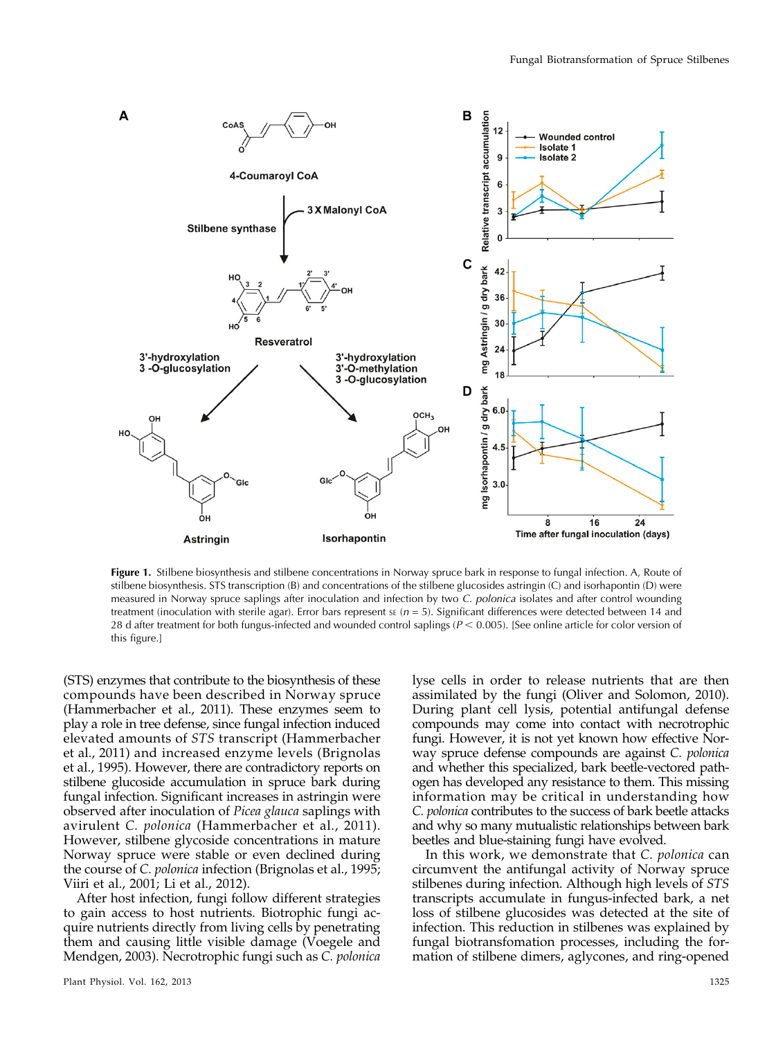

Figure 1. Stilbene biosynthesis and stilbene concentrations in Norway spruce bark in response to fungal infection. A, Route of stilbene biosynthesis. STS transcription (B) and concentrations of the stilbene glucosides astringin (C) and isorhapontin (D) were measured in Norway spruce saplings after inoculation and infection by two C. polonica isolates and after control wounding treatment (inoculation with sterile agar). Error bars represent  $s \varepsilon$  ( $n = 5$ ). Significant differences were detected between 14 and 28 d after treatment for both fungus-infected and wounded control saplings ( $P < 0.005$ ). [See online article for color version of this figure.]

(STS) enzymes that contribute to the biosynthesis of these compounds have been described in Norway spruce (Hammerbacher et al., 2011). These enzymes seem to play a role in tree defense, since fungal infection induced elevated amounts of STS transcript (Hammerbacher et al., 2011) and increased enzyme levels (Brignolas et al., 1995). However, there are contradictory reports on stilbene glucoside accumulation in spruce bark during fungal infection. Significant increases in astringin were observed after inoculation of Picea glauca saplings with avirulent C. polonica (Hammerbacher et al., 2011). However, stilbene glycoside concentrations in mature Norway spruce were stable or even declined during the course of C. polonica infection (Brignolas et al., 1995; Viiri et al., 2001; Li et al., 2012).

After host infection, fungi follow different strategies to gain access to host nutrients. Biotrophic fungi acquire nutrients directly from living cells by penetrating them and causing little visible damage (Voegele and Mendgen, 2003). Necrotrophic fungi such as C. polonica

Plant Physiol. Vol. 162, 2013 1325

lyse cells in order to release nutrients that are then assimilated by the fungi (Oliver and Solomon, 2010). During plant cell lysis, potential antifungal defense compounds may come into contact with necrotrophic fungi. However, it is not yet known how effective Norway spruce defense compounds are against C. polonica and whether this specialized, bark beetle-vectored pathogen has developed any resistance to them. This missing information may be critical in understanding how C. polonica contributes to the success of bark beetle attacks and why so many mutualistic relationships between bark beetles and blue-staining fungi have evolved.

In this work, we demonstrate that C. polonica can circumvent the antifungal activity of Norway spruce stilbenes during infection. Although high levels of STS transcripts accumulate in fungus-infected bark, a net loss of stilbene glucosides was detected at the site of infection. This reduction in stilbenes was explained by fungal biotransfomation processes, including the formation of stilbene dimers, aglycones, and ring-opened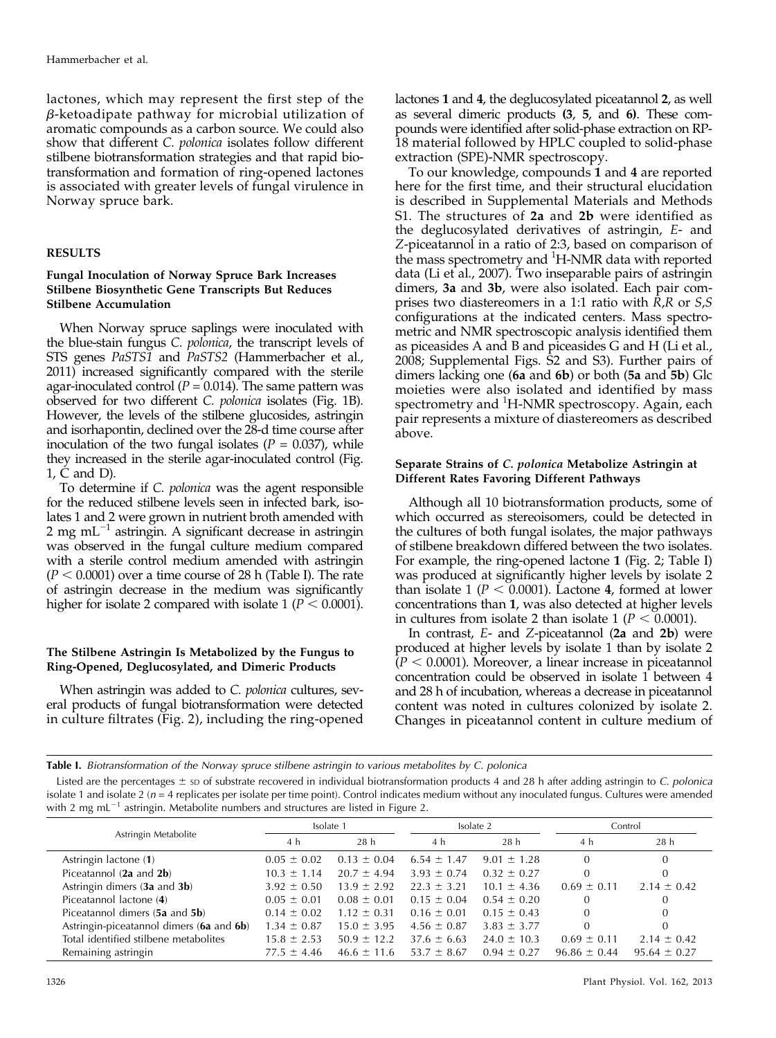lactones, which may represent the first step of the  $\beta$ -ketoadipate pathway for microbial utilization of aromatic compounds as a carbon source. We could also show that different C. polonica isolates follow different stilbene biotransformation strategies and that rapid biotransformation and formation of ring-opened lactones is associated with greater levels of fungal virulence in Norway spruce bark.

# RESULTS

#### Fungal Inoculation of Norway Spruce Bark Increases Stilbene Biosynthetic Gene Transcripts But Reduces Stilbene Accumulation

When Norway spruce saplings were inoculated with the blue-stain fungus C. polonica, the transcript levels of STS genes PaSTS1 and PaSTS2 (Hammerbacher et al., 2011) increased significantly compared with the sterile agar-inoculated control ( $P = 0.014$ ). The same pattern was observed for two different C. polonica isolates (Fig. 1B). However, the levels of the stilbene glucosides, astringin and isorhapontin, declined over the 28-d time course after inoculation of the two fungal isolates ( $P = 0.037$ ), while they increased in the sterile agar-inoculated control (Fig. 1, C and D).

To determine if C. polonica was the agent responsible for the reduced stilbene levels seen in infected bark, isolates 1 and 2 were grown in nutrient broth amended with 2 mg m $L^{-1}$  astringin. A significant decrease in astringin was observed in the fungal culture medium compared with a sterile control medium amended with astringin  $(P < 0.0001)$  over a time course of 28 h (Table I). The rate of astringin decrease in the medium was significantly higher for isolate 2 compared with isolate 1 ( $P < 0.0001$ ).

## The Stilbene Astringin Is Metabolized by the Fungus to Ring-Opened, Deglucosylated, and Dimeric Products

When astringin was added to C. polonica cultures, several products of fungal biotransformation were detected in culture filtrates (Fig. 2), including the ring-opened

lactones 1 and 4, the deglucosylated piceatannol 2, as well as several dimeric products (3, 5, and 6). These compounds were identified after solid-phase extraction on RP-18 material followed by HPLC coupled to solid-phase extraction (SPE)-NMR spectroscopy.

To our knowledge, compounds 1 and 4 are reported here for the first time, and their structural elucidation is described in [Supplemental Materials and Methods](http://www.plantphysiol.org/cgi/content/full/pp.113.218610/DC1) [S1](http://www.plantphysiol.org/cgi/content/full/pp.113.218610/DC1). The structures of 2a and 2b were identified as the deglucosylated derivatives of astringin, E- and Z-piceatannol in a ratio of 2:3, based on comparison of the mass spectrometry and <sup>1</sup>H-NMR data with reported data (Li et al., 2007). Two inseparable pairs of astringin dimers, 3a and 3b, were also isolated. Each pair comprises two diastereomers in a 1:1 ratio with  $R$ , $R$  or  $S$ , $S$ configurations at the indicated centers. Mass spectrometric and NMR spectroscopic analysis identified them as piceasides A and B and piceasides G and H (Li et al., 2008; [Supplemental Figs. S2 and S3](http://www.plantphysiol.org/cgi/content/full/pp.113.218610/DC1)). Further pairs of dimers lacking one (6a and 6b) or both (5a and 5b) Glc moieties were also isolated and identified by mass spectrometry and <sup>1</sup>H-NMR spectroscopy. Again, each pair represents a mixture of diastereomers as described above.

## Separate Strains of C. polonica Metabolize Astringin at Different Rates Favoring Different Pathways

Although all 10 biotransformation products, some of which occurred as stereoisomers, could be detected in the cultures of both fungal isolates, the major pathways of stilbene breakdown differed between the two isolates. For example, the ring-opened lactone 1 (Fig. 2; Table I) was produced at significantly higher levels by isolate 2 than isolate 1 ( $P < 0.0001$ ). Lactone 4, formed at lower concentrations than 1, was also detected at higher levels in cultures from isolate 2 than isolate 1 ( $P < 0.0001$ ).

In contrast, E- and Z-piceatannol (2a and 2b) were produced at higher levels by isolate 1 than by isolate 2  $(P < 0.0001)$ . Moreover, a linear increase in piceatannol concentration could be observed in isolate 1 between 4 and 28 h of incubation, whereas a decrease in piceatannol content was noted in cultures colonized by isolate 2. Changes in piceatannol content in culture medium of

 $\frac{1}{2}$ Listed are the percentages  $\pm$  so f substrate recovered in individual biotrasformation products 4 and 28 h after adding astringin to C. polonical<br>
icidate 1 and isolate 2 (n = 4 replicates per isolate per isola isolate 1 and isolate  $2$  ( $n = 4$  replicates per isolate per time point). Control indicates medium without any inoculated fungus. Cultures were amended with 2 mg mL $^{-1}$  astringin. Metabolite numbers and structures are listed in Figure 2.

| Astringin Metabolite                     | Isolate 1       |                 | Isolate 2       |                 | Control          |                  |
|------------------------------------------|-----------------|-----------------|-----------------|-----------------|------------------|------------------|
|                                          | 4 h             | 28 <sub>h</sub> | 4 h             | 28 <sub>h</sub> | 4 h              | 28 <sub>h</sub>  |
| Astringin lactone (1)                    | $0.05 \pm 0.02$ | $0.13 \pm 0.04$ | $6.54 \pm 1.47$ | $9.01 \pm 1.28$ | $\Omega$         | $\overline{0}$   |
| Piceatannol (2a and 2b)                  | $10.3 \pm 1.14$ | $20.7 \pm 4.94$ | $3.93 \pm 0.74$ | $0.32 \pm 0.27$ |                  | $\Omega$         |
| Astringin dimers (3a and 3b)             | $3.92 \pm 0.50$ | $13.9 \pm 2.92$ | $22.3 \pm 3.21$ | $10.1 \pm 4.36$ | $0.69 \pm 0.11$  | $2.14 \pm 0.42$  |
| Piceatannol lactone (4)                  | $0.05 \pm 0.01$ | $0.08 \pm 0.01$ | $0.15 \pm 0.04$ | $0.54 \pm 0.20$ |                  | $\mathbf{0}$     |
| Piceatannol dimers (5a and 5b)           | $0.14 \pm 0.02$ | $1.12 \pm 0.31$ | $0.16 \pm 0.01$ | $0.15 \pm 0.43$ |                  | $\Omega$         |
| Astringin-piceatannol dimers (6a and 6b) | $1.34 \pm 0.87$ | $15.0 \pm 3.95$ | $4.56 \pm 0.87$ | $3.83 \pm 3.77$ |                  | $\overline{0}$   |
| Total identified stilbene metabolites    | $15.8 \pm 2.53$ | $50.9 \pm 12.2$ | $37.6 \pm 6.63$ | $24.0 \pm 10.3$ | $0.69 \pm 0.11$  | $2.14 \pm 0.42$  |
| Remaining astringin                      | $77.5 \pm 4.46$ | $46.6 \pm 11.6$ | $53.7 \pm 8.67$ | $0.94 \pm 0.27$ | $96.86 \pm 0.44$ | $95.64 \pm 0.27$ |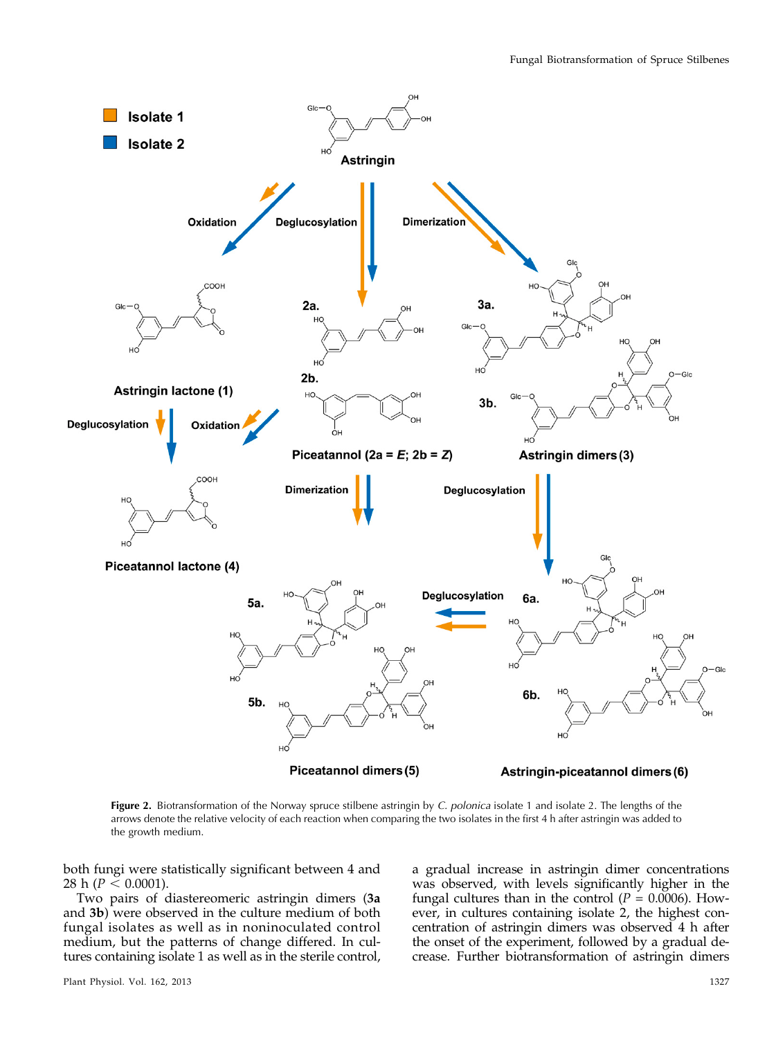

Figure 2. Biotransformation of the Norway spruce stilbene astringin by C. polonica isolate 1 and isolate 2. The lengths of the arrows denote the relative velocity of each reaction when comparing the two isolates in the first 4 h after astringin was added to the growth medium.

both fungi were statistically significant between 4 and 28 h ( $P \le 0.0001$ ).

Two pairs of diastereomeric astringin dimers (3a and 3b) were observed in the culture medium of both fungal isolates as well as in noninoculated control medium, but the patterns of change differed. In cultures containing isolate 1 as well as in the sterile control, a gradual increase in astringin dimer concentrations was observed, with levels significantly higher in the fungal cultures than in the control ( $P = 0.0006$ ). However, in cultures containing isolate 2, the highest concentration of astringin dimers was observed 4 h after the onset of the experiment, followed by a gradual decrease. Further biotransformation of astringin dimers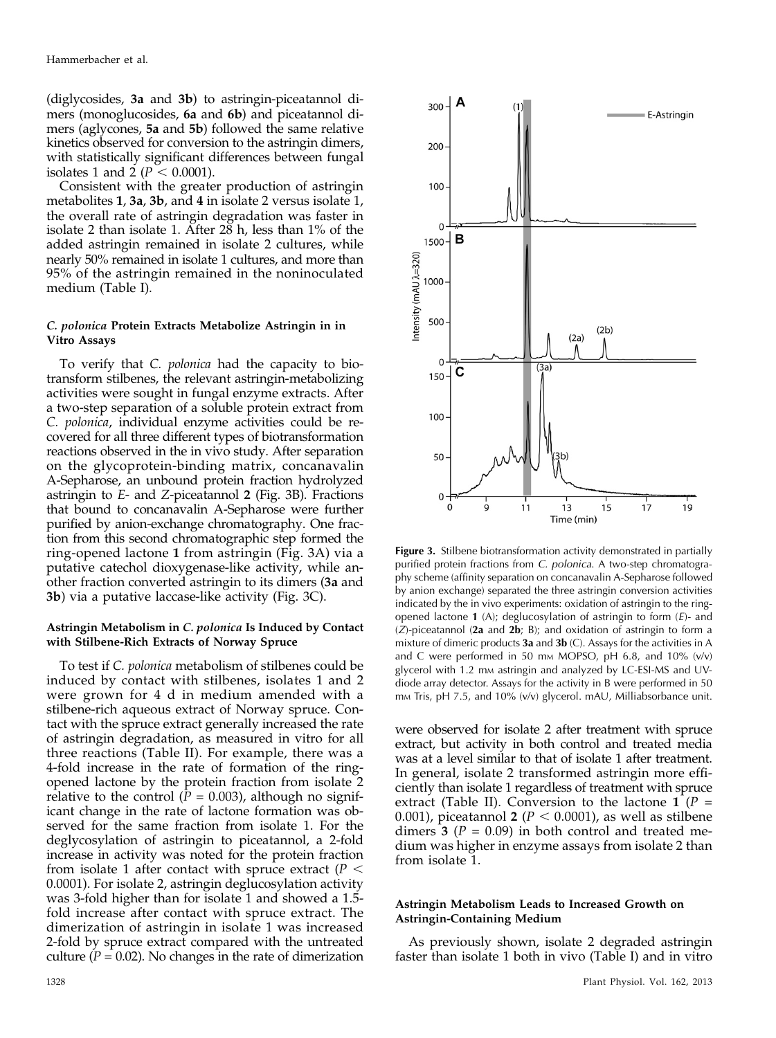(diglycosides, 3a and 3b) to astringin-piceatannol dimers (monoglucosides, 6a and 6b) and piceatannol dimers (aglycones, 5a and 5b) followed the same relative kinetics observed for conversion to the astringin dimers, with statistically significant differences between fungal isolates 1 and 2 ( $P < 0.0001$ ).

Consistent with the greater production of astringin metabolites 1, 3a, 3b, and 4 in isolate 2 versus isolate 1, the overall rate of astringin degradation was faster in isolate 2 than isolate 1. After 28 h, less than 1% of the added astringin remained in isolate 2 cultures, while nearly 50% remained in isolate 1 cultures, and more than 95% of the astringin remained in the noninoculated medium (Table I).

## C. polonica Protein Extracts Metabolize Astringin in in Vitro Assays

To verify that C. polonica had the capacity to biotransform stilbenes, the relevant astringin-metabolizing activities were sought in fungal enzyme extracts. After a two-step separation of a soluble protein extract from C. polonica, individual enzyme activities could be recovered for all three different types of biotransformation reactions observed in the in vivo study. After separation on the glycoprotein-binding matrix, concanavalin A-Sepharose, an unbound protein fraction hydrolyzed astringin to E- and Z-piceatannol 2 (Fig. 3B). Fractions that bound to concanavalin A-Sepharose were further purified by anion-exchange chromatography. One fraction from this second chromatographic step formed the ring-opened lactone 1 from astringin (Fig. 3A) via a putative catechol dioxygenase-like activity, while another fraction converted astringin to its dimers (3a and 3b) via a putative laccase-like activity (Fig. 3C).

## Astringin Metabolism in C. polonica Is Induced by Contact with Stilbene-Rich Extracts of Norway Spruce

To test if C. polonica metabolism of stilbenes could be induced by contact with stilbenes, isolates 1 and 2 were grown for 4 d in medium amended with a stilbene-rich aqueous extract of Norway spruce. Contact with the spruce extract generally increased the rate of astringin degradation, as measured in vitro for all three reactions (Table II). For example, there was a 4-fold increase in the rate of formation of the ringopened lactone by the protein fraction from isolate 2 relative to the control ( $P = 0.003$ ), although no significant change in the rate of lactone formation was observed for the same fraction from isolate 1. For the deglycosylation of astringin to piceatannol, a 2-fold increase in activity was noted for the protein fraction from isolate 1 after contact with spruce extract ( $P <$ 0.0001). For isolate 2, astringin deglucosylation activity was 3-fold higher than for isolate 1 and showed a 1.5 fold increase after contact with spruce extract. The dimerization of astringin in isolate 1 was increased 2-fold by spruce extract compared with the untreated culture ( $\hat{P} = 0.02$ ). No changes in the rate of dimerization



Figure 3. Stilbene biotransformation activity demonstrated in partially purified protein fractions from C. polonica. A two-step chromatography scheme (affinity separation on concanavalin A-Sepharose followed by anion exchange) separated the three astringin conversion activities indicated by the in vivo experiments: oxidation of astringin to the ringopened lactone  $1$  (A); deglucosylation of astringin to form  $(E)$ - and  $(Z)$ -piceatannol (2a and 2b; B); and oxidation of astringin to form a mixture of dimeric products  $3a$  and  $3b$  (C). Assays for the activities in A and C were performed in 50 mm MOPSO, pH  $6.8$ , and  $10\%$  (v/v) glycerol with 1.2 mm astringin and analyzed by LC-ESI-MS and UVdiode array detector. Assays for the activity in B were performed in 50 mm Tris, pH 7.5, and 10% (v/v) glycerol. mAU, Milliabsorbance unit.

were observed for isolate 2 after treatment with spruce extract, but activity in both control and treated media was at a level similar to that of isolate 1 after treatment. In general, isolate 2 transformed astringin more efficiently than isolate 1 regardless of treatment with spruce extract (Table II). Conversion to the lactone 1 ( $P =$ 0.001), piceatannol 2 ( $P < 0.0001$ ), as well as stilbene dimers 3 ( $P = 0.09$ ) in both control and treated medium was higher in enzyme assays from isolate 2 than from isolate 1.

# Astringin Metabolism Leads to Increased Growth on Astringin-Containing Medium

As previously shown, isolate 2 degraded astringin faster than isolate 1 both in vivo (Table I) and in vitro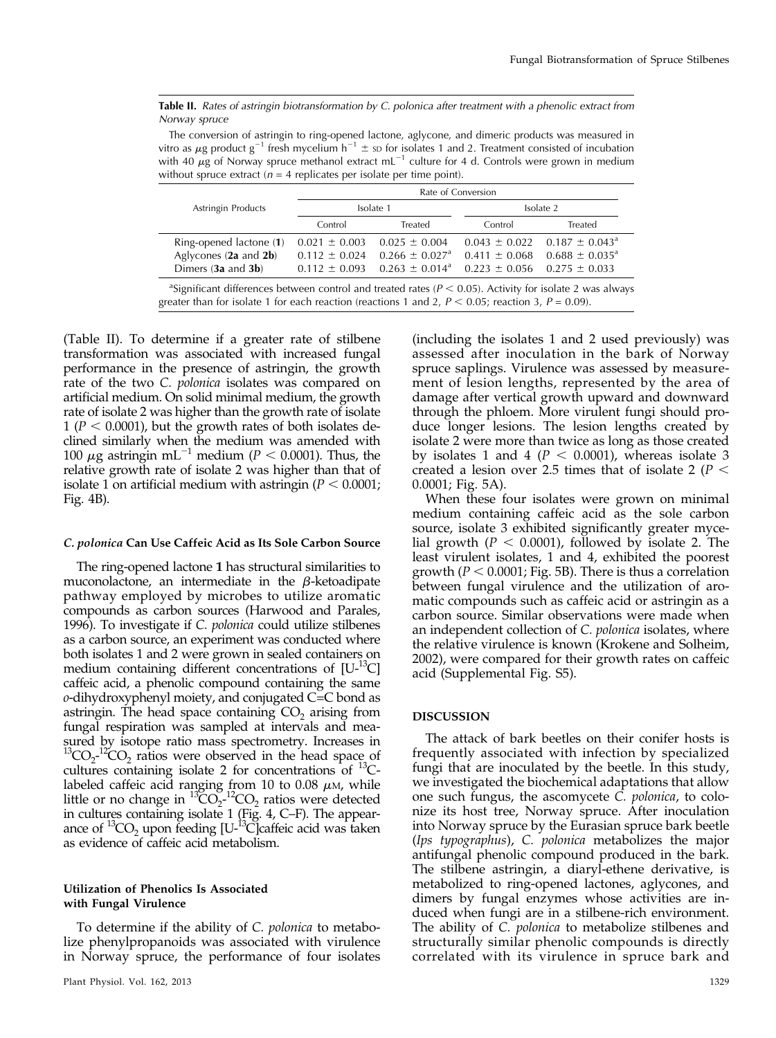Table II. Rates of astringin biotransformation by C. polonica after treatment with a phenolic extract from<br>Norway spruce

The conversion of astringin to ring-opened lactone, aglycone, and dimeric products was measured in vitro as  $\mu$ g product g<sup>-1</sup> fresh mycelium h<sup>-1</sup>  $\pm$  so for isolates 1 and 2. Treatment consisted of incubation with 40  $\mu$ g of Norway spruce methanol extract mL<sup>-1</sup> culture for 4 d. Controls were grown in medium without spruce extract ( $n = 4$  replicates per isolate per time point).

|                                                                                                                                                                                                                                        | Rate of Conversion |                                |                                     |                                                  |  |  |  |  |
|----------------------------------------------------------------------------------------------------------------------------------------------------------------------------------------------------------------------------------------|--------------------|--------------------------------|-------------------------------------|--------------------------------------------------|--|--|--|--|
| Astringin Products                                                                                                                                                                                                                     | Isolate 1          |                                | Isolate 2                           |                                                  |  |  |  |  |
|                                                                                                                                                                                                                                        | Control            | Treated                        | Control                             | Treated                                          |  |  |  |  |
| Ring-opened lactone (1)                                                                                                                                                                                                                | $0.021 \pm 0.003$  | $0.025 \pm 0.004$              |                                     | $0.043 \pm 0.022$ 0.187 $\pm$ 0.043 <sup>a</sup> |  |  |  |  |
| Aglycones $(2a \text{ and } 2b)$                                                                                                                                                                                                       | $0.112 \pm 0.024$  | $0.266 \pm 0.027$ <sup>a</sup> |                                     | $0.411 \pm 0.068$ $0.688 \pm 0.035$ <sup>a</sup> |  |  |  |  |
| Dimers $(3a \text{ and } 3b)$                                                                                                                                                                                                          | $0.112 \pm 0.093$  | $0.263 \pm 0.014^a$            | $0.223 \pm 0.056$ $0.275 \pm 0.033$ |                                                  |  |  |  |  |
| <sup>a</sup> Significant differences between control and treated rates ( $P < 0.05$ ). Activity for isolate 2 was always<br>rester than for isolate 1 for each reaction (reactions 1 and 2, $P \n\leq 0.05$ ; reaction 3, $P = 0.09$ ) |                    |                                |                                     |                                                  |  |  |  |  |

greater than for isolate 1 for each reaction (reactions 1 and 2,  $P < 0.05$ ; reaction 3,  $P = 0.09$ ).

(Table II). To determine if a greater rate of stilbene transformation was associated with increased fungal performance in the presence of astringin, the growth rate of the two C. *polonica* isolates was compared on artificial medium. On solid minimal medium, the growth rate of isolate 2 was higher than the growth rate of isolate 1 ( $P < 0.0001$ ), but the growth rates of both isolates declined similarly when the medium was amended with 100  $\mu$ g astringin mL<sup>-1</sup> medium (P < 0.0001). Thus, the relative growth rate of isolate 2 was higher than that of isolate 1 on artificial medium with astringin ( $P < 0.0001$ ; Fig. 4B).

#### C. polonica Can Use Caffeic Acid as Its Sole Carbon Source

The ring-opened lactone 1 has structural similarities to muconolactone, an intermediate in the  $\beta$ -ketoadipate pathway employed by microbes to utilize aromatic compounds as carbon sources (Harwood and Parales, 1996). To investigate if C. *polonica* could utilize stilbenes as a carbon source, an experiment was conducted where both isolates 1 and 2 were grown in sealed containers on medium containing different concentrations of  $[U^{-13}C]$ caffeic acid, a phenolic compound containing the same o-dihydroxyphenyl moiety, and conjugated C=C bond as astringin. The head space containing  $CO<sub>2</sub>$  arising from fungal respiration was sampled at intervals and measured by isotope ratio mass spectrometry. Increases in  $^{13}CO_{2}$ <sup>-12</sup>CO<sub>2</sub> ratios were observed in the head space of cultures containing isolate 2 for concentrations of  ${}^{13}C$ labeled caffeic acid ranging from 10 to 0.08  $\mu$ M, while little or no change in  ${}^{13}CO_2^{-12}CO_2$  ratios were detected in cultures containing isolate 1 (Fig. 4, C–F). The appearance of  ${}^{13}CO_2$  upon feeding [U- ${}^{13}$ C]caffeic acid was taken as evidence of caffeic acid metabolism.

## Utilization of Phenolics Is Associated with Fungal Virulence

To determine if the ability of C. polonica to metabolize phenylpropanoids was associated with virulence in Norway spruce, the performance of four isolates

(including the isolates 1 and 2 used previously) was assessed after inoculation in the bark of Norway spruce saplings. Virulence was assessed by measurement of lesion lengths, represented by the area of damage after vertical growth upward and downward through the phloem. More virulent fungi should produce longer lesions. The lesion lengths created by isolate 2 were more than twice as long as those created by isolates 1 and 4 ( $P < 0.0001$ ), whereas isolate 3 created a lesion over 2.5 times that of isolate 2 ( $P <$ 0.0001; Fig. 5A).

When these four isolates were grown on minimal medium containing caffeic acid as the sole carbon source, isolate 3 exhibited significantly greater mycelial growth ( $P < 0.0001$ ), followed by isolate 2. The least virulent isolates, 1 and 4, exhibited the poorest growth ( $P < 0.0001$ ; Fig. 5B). There is thus a correlation between fungal virulence and the utilization of aromatic compounds such as caffeic acid or astringin as a carbon source. Similar observations were made when an independent collection of C. polonica isolates, where the relative virulence is known (Krokene and Solheim, 2002), were compared for their growth rates on caffeic acid ([Supplemental Fig. S5](http://www.plantphysiol.org/cgi/content/full/pp.113.218610/DC1)).

#### **DISCUSSION**

The attack of bark beetles on their conifer hosts is frequently associated with infection by specialized fungi that are inoculated by the beetle. In this study, we investigated the biochemical adaptations that allow one such fungus, the ascomycete C. polonica, to colonize its host tree, Norway spruce. After inoculation into Norway spruce by the Eurasian spruce bark beetle (Ips typographus), C. polonica metabolizes the major antifungal phenolic compound produced in the bark. The stilbene astringin, a diaryl-ethene derivative, is metabolized to ring-opened lactones, aglycones, and dimers by fungal enzymes whose activities are induced when fungi are in a stilbene-rich environment. The ability of C. polonica to metabolize stilbenes and structurally similar phenolic compounds is directly correlated with its virulence in spruce bark and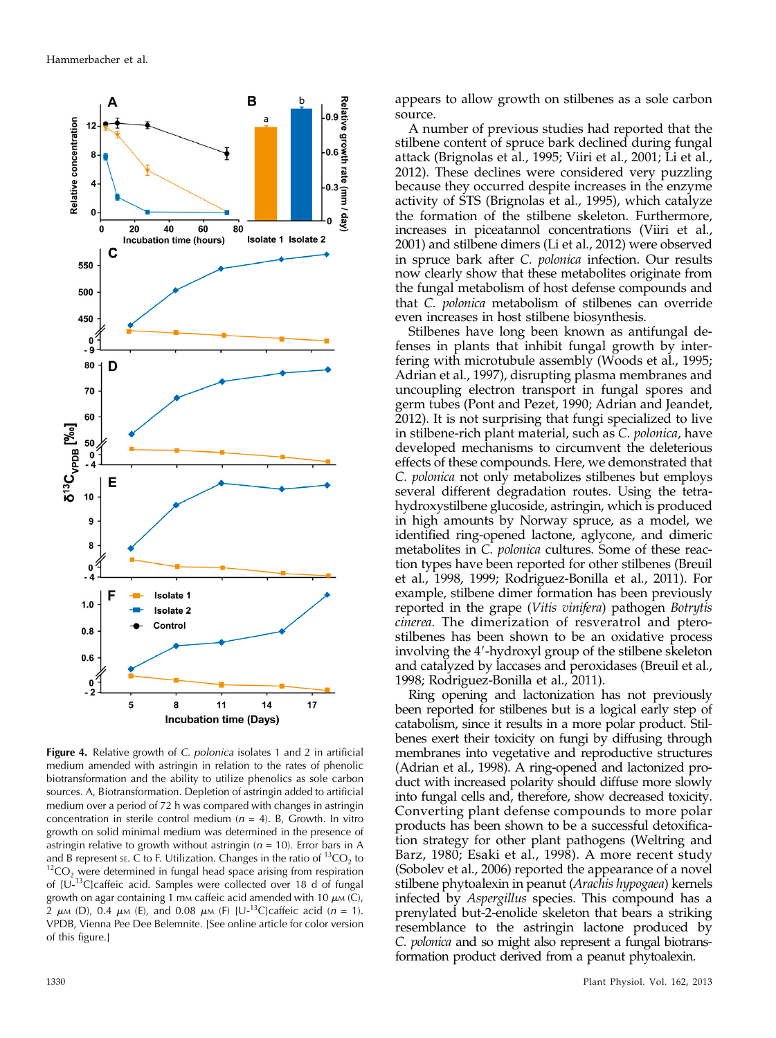

**Figure 4.** Relative growth of C. polonica isolates 1 and 2 in artificial medium amended with astringin in relation to the rates of phenolic biotransformation and the ability to utilize phenolics as sole carbon sources. A, Biotransformation. Depletion of astringin added to artificial medium over a period of 72 h was compared with changes in astringin concentration in sterile control medium ( $n = 4$ ). B, Growth. In vitro growth on solid minimal medium was determined in the presence of astringin relative to growth without astringin ( $n = 10$ ). Error bars in A and B represent st. C to F. Utilization. Changes in the ratio of <sup>13</sup>CO<sub>2</sub> to  ${}^{12}CO$ , were determined in fungal head space arising from respiration of  $[U^{-13}C]$ caffeic acid. Samples were collected over 18 d of fungal growth on agar containing 1 mm caffeic acid amended with 10  $\mu$ m (C), 2  $\mu$ M (D), 0.4  $\mu$ M (E), and 0.08  $\mu$ M (F) [U-<sup>13</sup>C]caffeic acid (n = 1). VPDB, Vienna Pee Dee Belemnite. [See online article for color version of this figure.]

appears to allow growth on stilbenes as a sole carbon source.

A number of previous studies had reported that the stilbene content of spruce bark declined during fungal attack (Brignolas et al., 1995; Viiri et al., 2001; Li et al., 2012). These declines were considered very puzzling because they occurred despite increases in the enzyme activity of STS (Brignolas et al., 1995), which catalyze the formation of the stilbene skeleton. Furthermore, increases in piceatannol concentrations (Viiri et al., 2001) and stilbene dimers (Li et al., 2012) were observed in spruce bark after C. polonica infection. Our results now clearly show that these metabolites originate from the fungal metabolism of host defense compounds and that C. polonica metabolism of stilbenes can override even increases in host stilbene biosynthesis.

Stilbenes have long been known as antifungal defenses in plants that inhibit fungal growth by interfering with microtubule assembly (Woods et al., 1995; Adrian et al., 1997), disrupting plasma membranes and uncoupling electron transport in fungal spores and germ tubes (Pont and Pezet, 1990; Adrian and Jeandet, 2012). It is not surprising that fungi specialized to live in stilbene-rich plant material, such as C. polonica, have developed mechanisms to circumvent the deleterious effects of these compounds. Here, we demonstrated that C. polonica not only metabolizes stilbenes but employs several different degradation routes. Using the tetrahydroxystilbene glucoside, astringin, which is produced in high amounts by Norway spruce, as a model, we identified ring-opened lactone, aglycone, and dimeric metabolites in C. polonica cultures. Some of these reaction types have been reported for other stilbenes (Breuil et al., 1998, 1999; Rodriguez-Bonilla et al., 2011). For example, stilbene dimer formation has been previously reported in the grape (Vitis vinifera) pathogen Botrytis cinerea. The dimerization of resveratrol and pterostilbenes has been shown to be an oxidative process involving the 4'-hydroxyl group of the stilbene skeleton and catalyzed by laccases and peroxidases (Breuil et al., 1998; Rodriguez-Bonilla et al., 2011).

Ring opening and lactonization has not previously been reported for stilbenes but is a logical early step of catabolism, since it results in a more polar product. Stilbenes exert their toxicity on fungi by diffusing through membranes into vegetative and reproductive structures (Adrian et al., 1998). A ring-opened and lactonized product with increased polarity should diffuse more slowly into fungal cells and, therefore, show decreased toxicity. Converting plant defense compounds to more polar products has been shown to be a successful detoxification strategy for other plant pathogens (Weltring and Barz, 1980; Esaki et al., 1998). A more recent study (Sobolev et al., 2006) reported the appearance of a novel stilbene phytoalexin in peanut (Arachis hypogaea) kernels infected by Aspergillus species. This compound has a prenylated but-2-enolide skeleton that bears a striking resemblance to the astringin lactone produced by C. polonica and so might also represent a fungal biotransformation product derived from a peanut phytoalexin.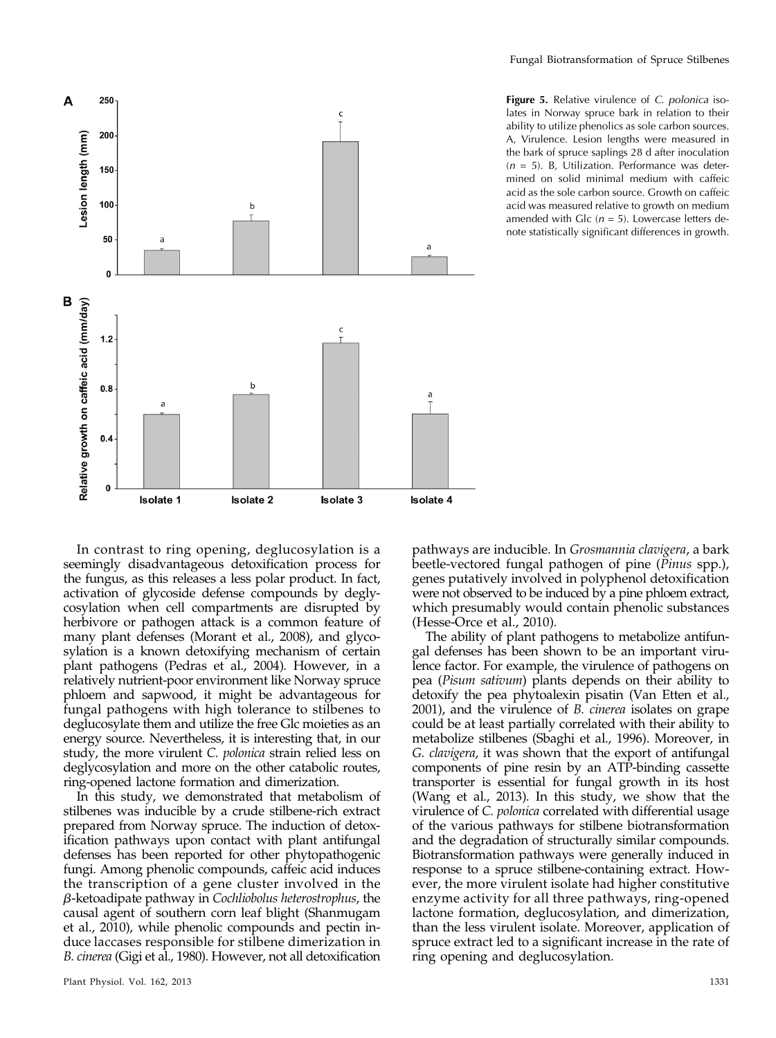

Figure 5. Relative virulence of C. polonica isolates in Norway spruce bark in relation to their ability to utilize phenolics as sole carbon sources. A, Virulence. Lesion lengths were measured in the bark of spruce saplings 28 d after inoculation  $(n = 5)$ . B, Utilization. Performance was determined on solid minimal medium with caffeic acid as the sole carbon source. Growth on caffeic acid was measured relative to growth on medium amended with Glc  $(n = 5)$ . Lowercase letters denote statistically significant differences in growth.

In contrast to ring opening, deglucosylation is a seemingly disadvantageous detoxification process for the fungus, as this releases a less polar product. In fact, activation of glycoside defense compounds by deglycosylation when cell compartments are disrupted by herbivore or pathogen attack is a common feature of many plant defenses (Morant et al., 2008), and glycosylation is a known detoxifying mechanism of certain plant pathogens (Pedras et al., 2004). However, in a relatively nutrient-poor environment like Norway spruce phloem and sapwood, it might be advantageous for fungal pathogens with high tolerance to stilbenes to deglucosylate them and utilize the free Glc moieties as an energy source. Nevertheless, it is interesting that, in our study, the more virulent C. *polonica* strain relied less on deglycosylation and more on the other catabolic routes, ring-opened lactone formation and dimerization.

In this study, we demonstrated that metabolism of stilbenes was inducible by a crude stilbene-rich extract prepared from Norway spruce. The induction of detoxification pathways upon contact with plant antifungal defenses has been reported for other phytopathogenic fungi. Among phenolic compounds, caffeic acid induces the transcription of a gene cluster involved in the  $\beta$ -ketoadipate pathway in Cochliobolus heterostrophus, the causal agent of southern corn leaf blight (Shanmugam et al., 2010), while phenolic compounds and pectin induce laccases responsible for stilbene dimerization in B. cinerea (Gigi et al., 1980). However, not all detoxification pathways are inducible. In Grosmannia clavigera, a bark beetle-vectored fungal pathogen of pine (Pinus spp.), genes putatively involved in polyphenol detoxification were not observed to be induced by a pine phloem extract, which presumably would contain phenolic substances (Hesse-Orce et al., 2010).

The ability of plant pathogens to metabolize antifungal defenses has been shown to be an important virulence factor. For example, the virulence of pathogens on pea (Pisum sativum) plants depends on their ability to detoxify the pea phytoalexin pisatin (Van Etten et al., 2001), and the virulence of B. cinerea isolates on grape could be at least partially correlated with their ability to metabolize stilbenes (Sbaghi et al., 1996). Moreover, in G. clavigera, it was shown that the export of antifungal components of pine resin by an ATP-binding cassette transporter is essential for fungal growth in its host (Wang et al., 2013). In this study, we show that the virulence of C. polonica correlated with differential usage of the various pathways for stilbene biotransformation and the degradation of structurally similar compounds. Biotransformation pathways were generally induced in response to a spruce stilbene-containing extract. However, the more virulent isolate had higher constitutive enzyme activity for all three pathways, ring-opened lactone formation, deglucosylation, and dimerization, than the less virulent isolate. Moreover, application of spruce extract led to a significant increase in the rate of ring opening and deglucosylation.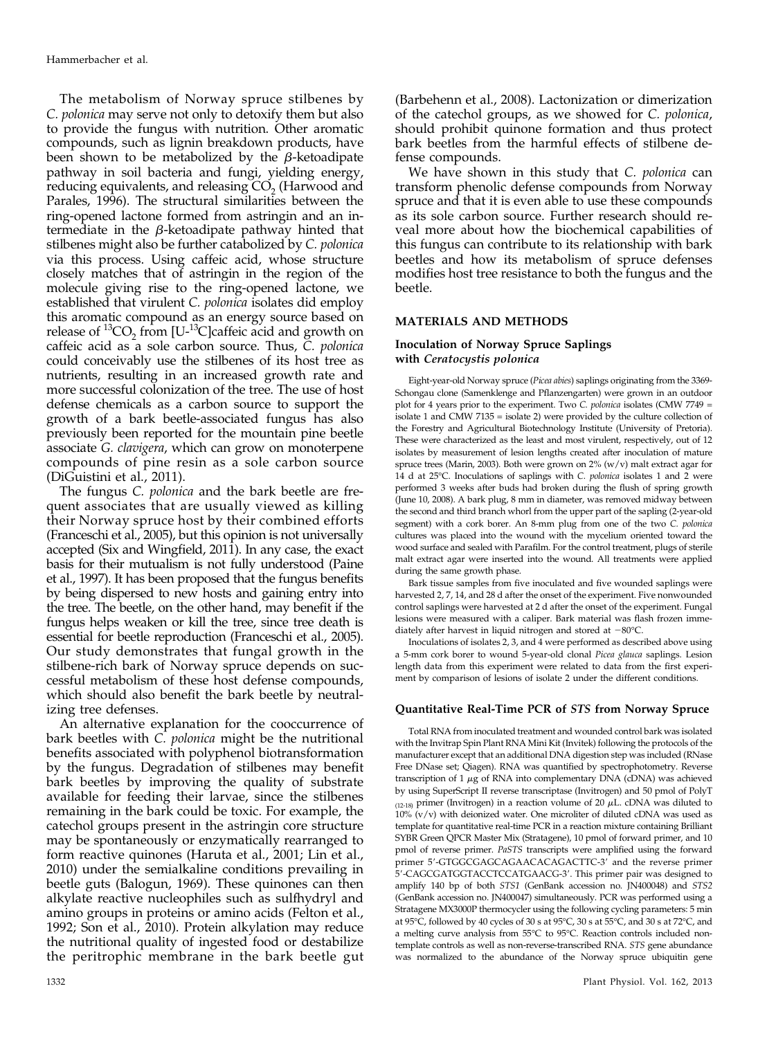The metabolism of Norway spruce stilbenes by C. polonica may serve not only to detoxify them but also to provide the fungus with nutrition. Other aromatic compounds, such as lignin breakdown products, have been shown to be metabolized by the  $\beta$ -ketoadipate pathway in soil bacteria and fungi, yielding energy, reducing equivalents, and releasing  $CO<sub>2</sub>$  (Harwood and Parales, 1996). The structural similarities between the ring-opened lactone formed from astringin and an intermediate in the  $\beta$ -ketoadipate pathway hinted that stilbenes might also be further catabolized by C. polonica via this process. Using caffeic acid, whose structure closely matches that of astringin in the region of the molecule giving rise to the ring-opened lactone, we established that virulent C. *polonica* isolates did employ this aromatic compound as an energy source based on release of  ${}^{13}CO_2$  from  $[U^{-13}C]$ caffeic acid and growth on caffeic acid as a sole carbon source. Thus, C. polonica could conceivably use the stilbenes of its host tree as nutrients, resulting in an increased growth rate and more successful colonization of the tree. The use of host defense chemicals as a carbon source to support the growth of a bark beetle-associated fungus has also previously been reported for the mountain pine beetle associate G. clavigera, which can grow on monoterpene compounds of pine resin as a sole carbon source (DiGuistini et al., 2011).

The fungus C. polonica and the bark beetle are frequent associates that are usually viewed as killing their Norway spruce host by their combined efforts (Franceschi et al., 2005), but this opinion is not universally accepted (Six and Wingfield, 2011). In any case, the exact basis for their mutualism is not fully understood (Paine et al., 1997). It has been proposed that the fungus benefits by being dispersed to new hosts and gaining entry into the tree. The beetle, on the other hand, may benefit if the fungus helps weaken or kill the tree, since tree death is essential for beetle reproduction (Franceschi et al., 2005). Our study demonstrates that fungal growth in the stilbene-rich bark of Norway spruce depends on successful metabolism of these host defense compounds, which should also benefit the bark beetle by neutralizing tree defenses.

An alternative explanation for the cooccurrence of bark beetles with C. *polonica* might be the nutritional benefits associated with polyphenol biotransformation by the fungus. Degradation of stilbenes may benefit bark beetles by improving the quality of substrate available for feeding their larvae, since the stilbenes remaining in the bark could be toxic. For example, the catechol groups present in the astringin core structure may be spontaneously or enzymatically rearranged to form reactive quinones (Haruta et al., 2001; Lin et al., 2010) under the semialkaline conditions prevailing in beetle guts (Balogun, 1969). These quinones can then alkylate reactive nucleophiles such as sulfhydryl and amino groups in proteins or amino acids (Felton et al., 1992; Son et al., 2010). Protein alkylation may reduce the nutritional quality of ingested food or destabilize the peritrophic membrane in the bark beetle gut

(Barbehenn et al., 2008). Lactonization or dimerization of the catechol groups, as we showed for C. polonica, should prohibit quinone formation and thus protect bark beetles from the harmful effects of stilbene defense compounds.

We have shown in this study that C. polonica can transform phenolic defense compounds from Norway spruce and that it is even able to use these compounds as its sole carbon source. Further research should reveal more about how the biochemical capabilities of this fungus can contribute to its relationship with bark beetles and how its metabolism of spruce defenses modifies host tree resistance to both the fungus and the beetle.

# MATERIALS AND METHODS

## Inoculation of Norway Spruce Saplings with Ceratocystis polonica

Eight-year-old Norway spruce (Picea abies) saplings originating from the 3369- Schongau clone (Samenklenge and Pflanzengarten) were grown in an outdoor plot for 4 years prior to the experiment. Two C. polonica isolates (CMW 7749 = isolate 1 and CMW 7135 = isolate 2) were provided by the culture collection of the Forestry and Agricultural Biotechnology Institute (University of Pretoria). These were characterized as the least and most virulent, respectively, out of 12 isolates by measurement of lesion lengths created after inoculation of mature spruce trees (Marin, 2003). Both were grown on 2% (w/v) malt extract agar for 14 d at 25°C. Inoculations of saplings with C. polonica isolates 1 and 2 were performed 3 weeks after buds had broken during the flush of spring growth (June 10, 2008). A bark plug, 8 mm in diameter, was removed midway between the second and third branch whorl from the upper part of the sapling (2-year-old segment) with a cork borer. An 8-mm plug from one of the two C. polonica cultures was placed into the wound with the mycelium oriented toward the wood surface and sealed with Parafilm. For the control treatment, plugs of sterile malt extract agar were inserted into the wound. All treatments were applied during the same growth phase.

Bark tissue samples from five inoculated and five wounded saplings were harvested 2, 7, 14, and 28 d after the onset of the experiment. Five nonwounded control saplings were harvested at 2 d after the onset of the experiment. Fungal lesions were measured with a caliper. Bark material was flash frozen immediately after harvest in liquid nitrogen and stored at  $-80^{\circ}$ C.

Inoculations of isolates 2, 3, and 4 were performed as described above using a 5-mm cork borer to wound 5-year-old clonal Picea glauca saplings. Lesion length data from this experiment were related to data from the first experiment by comparison of lesions of isolate 2 under the different conditions.

#### Quantitative Real-Time PCR of STS from Norway Spruce

Total RNA from inoculated treatment and wounded control bark was isolated with the Invitrap Spin Plant RNA Mini Kit (Invitek) following the protocols of the manufacturer except that an additional DNA digestion step was included (RNase Free DNase set; Qiagen). RNA was quantified by spectrophotometry. Reverse transcription of 1  $\mu$ g of RNA into complementary DNA (cDNA) was achieved by using SuperScript II reverse transcriptase (Invitrogen) and 50 pmol of PolyT  $(12-18)$  primer (Invitrogen) in a reaction volume of 20  $\mu$ L. cDNA was diluted to 10% (v/v) with deionized water. One microliter of diluted cDNA was used as template for quantitative real-time PCR in a reaction mixture containing Brilliant SYBR Green QPCR Master Mix (Stratagene), 10 pmol of forward primer, and 10 pmol of reverse primer. PaSTS transcripts were amplified using the forward primer 5'-GTGGCGAGCAGAACACAGACTTC-3' and the reverse primer 5'-CAGCGATGGTACCTCCATGAACG-3'. This primer pair was designed to amplify 140 bp of both STS1 (GenBank accession no. JN400048) and STS2 (GenBank accession no. JN400047) simultaneously. PCR was performed using a Stratagene MX3000P thermocycler using the following cycling parameters: 5 min at 95°C, followed by 40 cycles of 30 s at 95°C, 30 s at 55°C, and 30 s at 72°C, and a melting curve analysis from 55°C to 95°C. Reaction controls included nontemplate controls as well as non-reverse-transcribed RNA. STS gene abundance was normalized to the abundance of the Norway spruce ubiquitin gene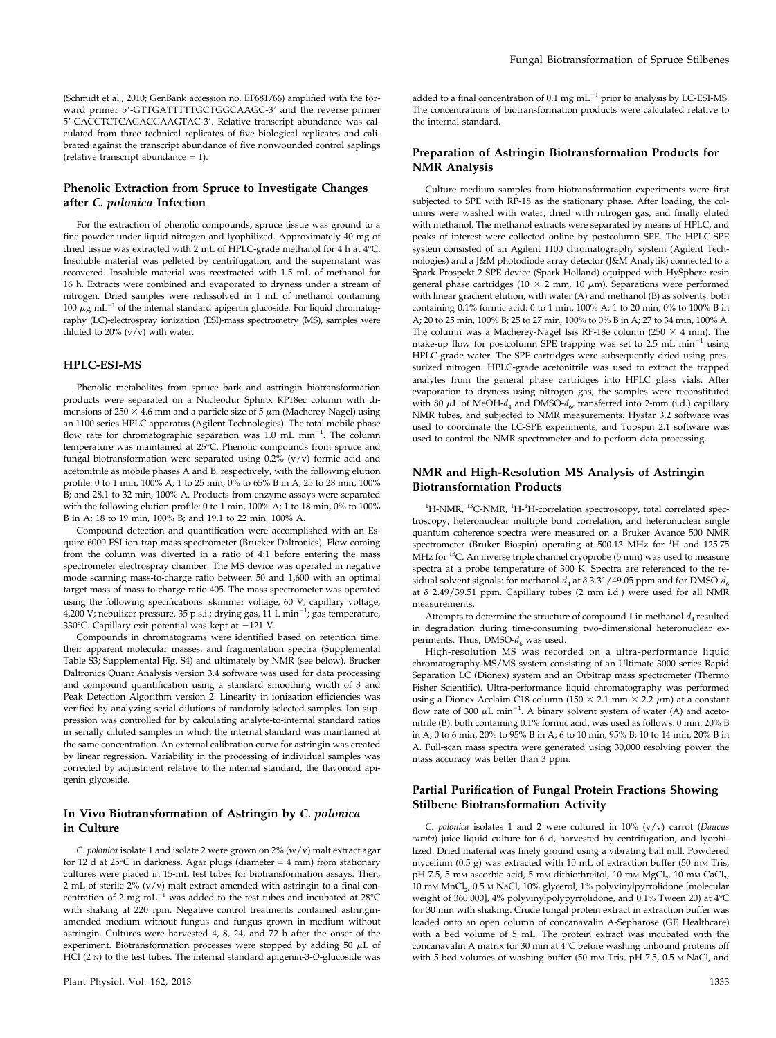(Schmidt et al., 2010; GenBank accession no. EF681766) amplified with the forward primer 5'-GTTGATTTTTGCTGGCAAGC-3' and the reverse primer 5'-CACCTCTCAGACGAAGTAC-3'. Relative transcript abundance was calculated from three technical replicates of five biological replicates and calibrated against the transcript abundance of five nonwounded control saplings (relative transcript abundance = 1).

## Phenolic Extraction from Spruce to Investigate Changes after C. polonica Infection

For the extraction of phenolic compounds, spruce tissue was ground to a fine powder under liquid nitrogen and lyophilized. Approximately 40 mg of dried tissue was extracted with 2 mL of HPLC-grade methanol for 4 h at 4°C. Insoluble material was pelleted by centrifugation, and the supernatant was recovered. Insoluble material was reextracted with 1.5 mL of methanol for 16 h. Extracts were combined and evaporated to dryness under a stream of nitrogen. Dried samples were redissolved in 1 mL of methanol containing 100  $\mu$ g mL<sup>-1</sup> of the internal standard apigenin glucoside. For liquid chromatography (LC)-electrospray ionization (ESI)-mass spectrometry (MS), samples were diluted to 20%  $(v/v)$  with water.

#### HPLC-ESI-MS

Phenolic metabolites from spruce bark and astringin biotransformation products were separated on a Nucleodur Sphinx RP18ec column with dimensions of 250  $\times$  4.6 mm and a particle size of 5  $\mu$ m (Macherey-Nagel) using an 1100 series HPLC apparatus (Agilent Technologies). The total mobile phase flow rate for chromatographic separation was 1.0 mL  $min^{-1}$ . The column temperature was maintained at 25°C. Phenolic compounds from spruce and fungal biotransformation were separated using 0.2% (v/v) formic acid and acetonitrile as mobile phases A and B, respectively, with the following elution profile: 0 to 1 min, 100% A; 1 to 25 min, 0% to 65% B in A; 25 to 28 min, 100% B; and 28.1 to 32 min, 100% A. Products from enzyme assays were separated with the following elution profile: 0 to 1 min, 100% A; 1 to 18 min, 0% to 100% B in A; 18 to 19 min, 100% B; and 19.1 to 22 min, 100% A.

Compound detection and quantification were accomplished with an Esquire 6000 ESI ion-trap mass spectrometer (Brucker Daltronics). Flow coming from the column was diverted in a ratio of 4:1 before entering the mass spectrometer electrospray chamber. The MS device was operated in negative mode scanning mass-to-charge ratio between 50 and 1,600 with an optimal target mass of mass-to-charge ratio 405. The mass spectrometer was operated using the following specifications: skimmer voltage, 60 V; capillary voltage, 4,200 V; nebulizer pressure, 35 p.s.i.; drying gas, 11 L min<sup>-1</sup>; gas temperature, 330 $^{\circ}$ C. Capillary exit potential was kept at  $-121$  V.

Compounds in chromatograms were identified based on retention time, their apparent molecular masses, and fragmentation spectra ([Supplemental](http://www.plantphysiol.org/cgi/content/full/pp.113.218610/DC1) [Table S3; Supplemental Fig. S4](http://www.plantphysiol.org/cgi/content/full/pp.113.218610/DC1)) and ultimately by NMR (see below). Brucker Daltronics Quant Analysis version 3.4 software was used for data processing and compound quantification using a standard smoothing width of 3 and Peak Detection Algorithm version 2. Linearity in ionization efficiencies was verified by analyzing serial dilutions of randomly selected samples. Ion suppression was controlled for by calculating analyte-to-internal standard ratios in serially diluted samples in which the internal standard was maintained at the same concentration. An external calibration curve for astringin was created by linear regression. Variability in the processing of individual samples was corrected by adjustment relative to the internal standard, the flavonoid apigenin glycoside.

## In Vivo Biotransformation of Astringin by C. polonica in Culture

C. polonica isolate 1 and isolate 2 were grown on  $2\%$  (w/v) malt extract agar for 12 d at 25 $^{\circ}$ C in darkness. Agar plugs (diameter = 4 mm) from stationary cultures were placed in 15-mL test tubes for biotransformation assays. Then, 2 mL of sterile 2% (v/v) malt extract amended with astringin to a final concentration of 2 mg  $mL^{-1}$  was added to the test tubes and incubated at 28°C with shaking at 220 rpm. Negative control treatments contained astringinamended medium without fungus and fungus grown in medium without astringin. Cultures were harvested 4, 8, 24, and 72 h after the onset of the experiment. Biotransformation processes were stopped by adding 50  $\mu$ L of HCl (2 N) to the test tubes. The internal standard apigenin-3-O-glucoside was added to a final concentration of 0.1 mg  $\mathrm{mL^{-1}}$  prior to analysis by LC-ESI-MS. The concentrations of biotransformation products were calculated relative to the internal standard.

## Preparation of Astringin Biotransformation Products for NMR Analysis

Culture medium samples from biotransformation experiments were first subjected to SPE with RP-18 as the stationary phase. After loading, the columns were washed with water, dried with nitrogen gas, and finally eluted with methanol. The methanol extracts were separated by means of HPLC, and peaks of interest were collected online by postcolumn SPE. The HPLC-SPE system consisted of an Agilent 1100 chromatography system (Agilent Technologies) and a J&M photodiode array detector (J&M Analytik) connected to a Spark Prospekt 2 SPE device (Spark Holland) equipped with HySphere resin general phase cartridges (10  $\times$  2 mm, 10  $\mu$ m). Separations were performed with linear gradient elution, with water (A) and methanol (B) as solvents, both containing 0.1% formic acid: 0 to 1 min, 100% A; 1 to 20 min, 0% to 100% B in A; 20 to 25 min, 100% B; 25 to 27 min, 100% to 0% B in A; 27 to 34 min, 100% A. The column was a Macherey-Nagel Isis RP-18e column (250  $\times$  4 mm). The make-up flow for postcolumn SPE trapping was set to 2.5 mL  $min^{-1}$  using HPLC-grade water. The SPE cartridges were subsequently dried using pressurized nitrogen. HPLC-grade acetonitrile was used to extract the trapped analytes from the general phase cartridges into HPLC glass vials. After evaporation to dryness using nitrogen gas, the samples were reconstituted with 80  $\mu$ L of MeOH- $d_4$  and DMSO- $d_6$ , transferred into 2-mm (i.d.) capillary NMR tubes, and subjected to NMR measurements. Hystar 3.2 software was used to coordinate the LC-SPE experiments, and Topspin 2.1 software was used to control the NMR spectrometer and to perform data processing.

#### NMR and High-Resolution MS Analysis of Astringin Biotransformation Products

 $^{1}$ H-NMR,  $^{13}$ C-NMR,  $^{1}$ H- $^{1}$ H-correlation spectroscopy, total correlated spectroscopy, heteronuclear multiple bond correlation, and heteronuclear single quantum coherence spectra were measured on a Bruker Avance 500 NMR spectrometer (Bruker Biospin) operating at 500.13 MHz for <sup>1</sup>H and 125.75 MHz for  $^{13}$ C. An inverse triple channel cryoprobe (5 mm) was used to measure spectra at a probe temperature of 300 K. Spectra are referenced to the residual solvent signals: for methanol- $d_4$  at  $\delta$  3.31/49.05 ppm and for DMSO- $d_6$ at  $\delta$  2.49/39.51 ppm. Capillary tubes (2 mm i.d.) were used for all NMR measurements.

Attempts to determine the structure of compound 1 in methanol- $d_4$  resulted in degradation during time-consuming two-dimensional heteronuclear experiments. Thus, DMSO- $d_6$  was used.

High-resolution MS was recorded on a ultra-performance liquid chromatography-MS/MS system consisting of an Ultimate 3000 series Rapid Separation LC (Dionex) system and an Orbitrap mass spectrometer (Thermo Fisher Scientific). Ultra-performance liquid chromatography was performed using a Dionex Acclaim C18 column (150  $\times$  2.1 mm  $\times$  2.2  $\mu$ m) at a constant flow rate of 300  $\mu$ L min<sup>-1</sup>. A binary solvent system of water (A) and acetonitrile (B), both containing 0.1% formic acid, was used as follows: 0 min, 20% B in A; 0 to 6 min, 20% to 95% B in A; 6 to 10 min, 95% B; 10 to 14 min, 20% B in A. Full-scan mass spectra were generated using 30,000 resolving power: the mass accuracy was better than 3 ppm.

#### Partial Purification of Fungal Protein Fractions Showing Stilbene Biotransformation Activity

C. polonica isolates 1 and 2 were cultured in  $10\%$  (v/v) carrot (Daucus carota) juice liquid culture for 6 d, harvested by centrifugation, and lyophilized. Dried material was finely ground using a vibrating ball mill. Powdered mycelium (0.5 g) was extracted with 10 mL of extraction buffer (50 mm Tris, pH 7.5, 5 mm ascorbic acid, 5 mm dithiothreitol, 10 mm MgCl<sub>2</sub>, 10 mm CaCl<sub>2</sub>, 10 mm MnCl<sub>2</sub>, 0.5 m NaCl, 10% glycerol, 1% polyvinylpyrrolidone [molecular weight of 360,000], 4% polyvinylpolypyrrolidone, and 0.1% Tween 20) at 4°C for 30 min with shaking. Crude fungal protein extract in extraction buffer was loaded onto an open column of concanavalin A-Sepharose (GE Healthcare) with a bed volume of 5 mL. The protein extract was incubated with the concanavalin A matrix for 30 min at 4°C before washing unbound proteins off with 5 bed volumes of washing buffer (50 mm Tris, pH 7.5, 0.5 m NaCl, and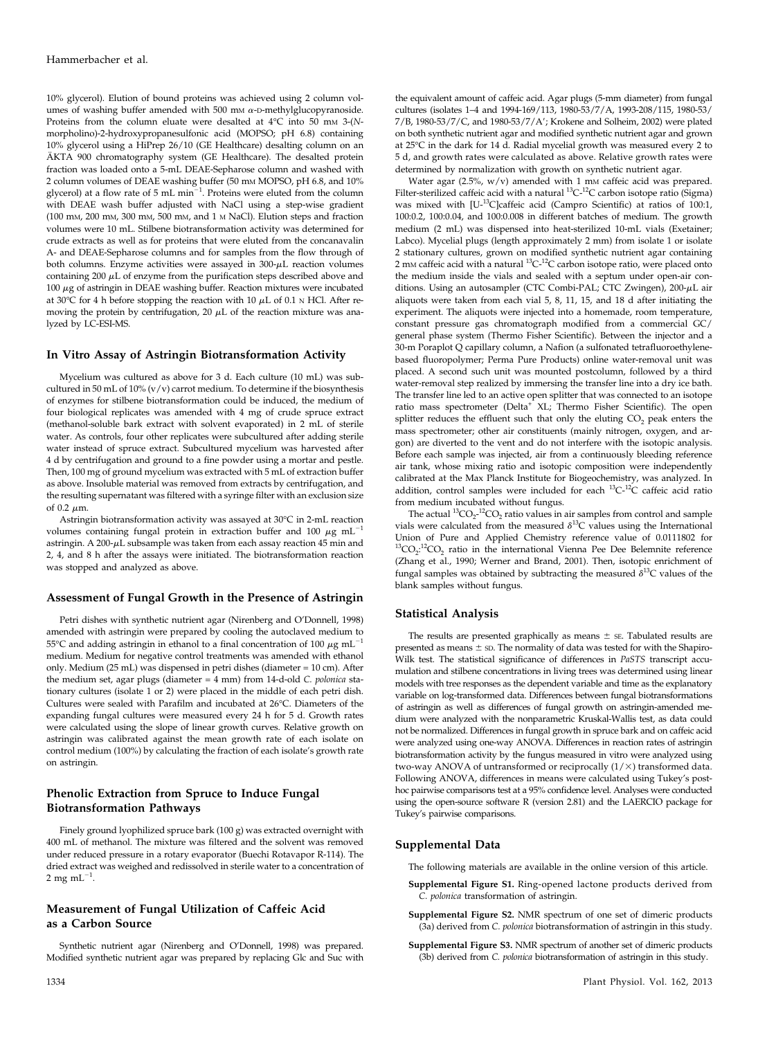10% glycerol). Elution of bound proteins was achieved using 2 column volumes of washing buffer amended with 500 mm  $\alpha$ -D-methylglucopyranoside. Proteins from the column eluate were desalted at  $4^{\circ}$ C into 50 mm 3-(Nmorpholino)-2-hydroxypropanesulfonic acid (MOPSO; pH 6.8) containing 10% glycerol using a HiPrep 26/10 (GE Healthcare) desalting column on an ÄKTA 900 chromatography system (GE Healthcare). The desalted protein fraction was loaded onto a 5-mL DEAE-Sepharose column and washed with 2 column volumes of DEAE washing buffer (50 mm MOPSO, pH 6.8, and 10% glycerol) at a flow rate of 5 mL  $min^{-1}$ . Proteins were eluted from the column with DEAE wash buffer adjusted with NaCl using a step-wise gradient (100 mM, 200 mM, 300 mM, 500 mM, and 1 <sup>M</sup> NaCl). Elution steps and fraction volumes were 10 mL. Stilbene biotransformation activity was determined for crude extracts as well as for proteins that were eluted from the concanavalin A- and DEAE-Sepharose columns and for samples from the flow through of both columns. Enzyme activities were assayed in  $300-\mu$ L reaction volumes containing  $200 \mu L$  of enzyme from the purification steps described above and  $100 \mu$ g of astringin in DEAE washing buffer. Reaction mixtures were incubated at 30°C for 4 h before stopping the reaction with 10  $\mu$ L of 0.1 N HCl. After removing the protein by centrifugation, 20  $\mu$ L of the reaction mixture was analyzed by LC-ESI-MS.

#### In Vitro Assay of Astringin Biotransformation Activity

Mycelium was cultured as above for 3 d. Each culture (10 mL) was subcultured in 50 mL of  $10\%$  (v/v) carrot medium. To determine if the biosynthesis of enzymes for stilbene biotransformation could be induced, the medium of four biological replicates was amended with 4 mg of crude spruce extract (methanol-soluble bark extract with solvent evaporated) in 2 mL of sterile water. As controls, four other replicates were subcultured after adding sterile water instead of spruce extract. Subcultured mycelium was harvested after 4 d by centrifugation and ground to a fine powder using a mortar and pestle. Then, 100 mg of ground mycelium was extracted with 5 mL of extraction buffer as above. Insoluble material was removed from extracts by centrifugation, and the resulting supernatant was filtered with a syringe filter with an exclusion size of  $0.2 \mu m$ .

Astringin biotransformation activity was assayed at 30°C in 2-mL reaction volumes containing fungal protein in extraction buffer and 100  $\mu$ g mL<sup>-1</sup> astringin. A 200- $\mu$ L subsample was taken from each assay reaction 45 min and 2, 4, and 8 h after the assays were initiated. The biotransformation reaction was stopped and analyzed as above.

#### Assessment of Fungal Growth in the Presence of Astringin

Petri dishes with synthetic nutrient agar (Nirenberg and O'Donnell, 1998) amended with astringin were prepared by cooling the autoclaved medium to 55°C and adding astringin in ethanol to a final concentration of 100  $\mu$ g mL<sup>-</sup> medium. Medium for negative control treatments was amended with ethanol only. Medium (25 mL) was dispensed in petri dishes (diameter = 10 cm). After the medium set, agar plugs (diameter = 4 mm) from 14-d-old C. polonica stationary cultures (isolate 1 or 2) were placed in the middle of each petri dish. Cultures were sealed with Parafilm and incubated at 26°C. Diameters of the expanding fungal cultures were measured every 24 h for 5 d. Growth rates were calculated using the slope of linear growth curves. Relative growth on astringin was calibrated against the mean growth rate of each isolate on control medium (100%) by calculating the fraction of each isolate's growth rate on astringin.

#### Phenolic Extraction from Spruce to Induce Fungal Biotransformation Pathways

Finely ground lyophilized spruce bark (100 g) was extracted overnight with 400 mL of methanol. The mixture was filtered and the solvent was removed under reduced pressure in a rotary evaporator (Buechi Rotavapor R-114). The dried extract was weighed and redissolved in sterile water to a concentration of 2 mg m $\mathrm{L}^{-1}.$ 

# Measurement of Fungal Utilization of Caffeic Acid as a Carbon Source

Synthetic nutrient agar (Nirenberg and O'Donnell, 1998) was prepared. Modified synthetic nutrient agar was prepared by replacing Glc and Suc with

the equivalent amount of caffeic acid. Agar plugs (5-mm diameter) from fungal cultures (isolates 1–4 and 1994-169/113, 1980-53/7/A, 1993-208/115, 1980-53/ 7/B, 1980-53/7/C, and 1980-53/7/A'; Krokene and Solheim, 2002) were plated on both synthetic nutrient agar and modified synthetic nutrient agar and grown at 25°C in the dark for 14 d. Radial mycelial growth was measured every 2 to 5 d, and growth rates were calculated as above. Relative growth rates were determined by normalization with growth on synthetic nutrient agar.

Water agar (2.5%,  $w/v$ ) amended with 1 mm caffeic acid was prepared. Filter-sterilized caffeic acid with a natural  ${}^{13}C^{-12}C$  carbon isotope ratio (Sigma) was mixed with [U-13C]caffeic acid (Campro Scientific) at ratios of 100:1, 100:0.2, 100:0.04, and 100:0.008 in different batches of medium. The growth medium (2 mL) was dispensed into heat-sterilized 10-mL vials (Exetainer; Labco). Mycelial plugs (length approximately 2 mm) from isolate 1 or isolate 2 stationary cultures, grown on modified synthetic nutrient agar containing 2 mm caffeic acid with a natural  ${}^{13}C_{1}{}^{12}C$  carbon isotope ratio, were placed onto the medium inside the vials and sealed with a septum under open-air conditions. Using an autosampler (CTC Combi-PAL; CTC Zwingen),  $200 - \mu L$  air aliquots were taken from each vial 5, 8, 11, 15, and 18 d after initiating the experiment. The aliquots were injected into a homemade, room temperature, constant pressure gas chromatograph modified from a commercial GC/ general phase system (Thermo Fisher Scientific). Between the injector and a 30-m Poraplot Q capillary column, a Nafion (a sulfonated tetrafluoroethylenebased fluoropolymer; Perma Pure Products) online water-removal unit was placed. A second such unit was mounted postcolumn, followed by a third water-removal step realized by immersing the transfer line into a dry ice bath. The transfer line led to an active open splitter that was connected to an isotope ratio mass spectrometer (Delta<sup>+</sup> XL; Thermo Fisher Scientific). The open splitter reduces the effluent such that only the eluting  $CO<sub>2</sub>$  peak enters the mass spectrometer; other air constituents (mainly nitrogen, oxygen, and argon) are diverted to the vent and do not interfere with the isotopic analysis. Before each sample was injected, air from a continuously bleeding reference air tank, whose mixing ratio and isotopic composition were independently calibrated at the Max Planck Institute for Biogeochemistry, was analyzed. In addition, control samples were included for each  ${}^{13}C^{-12}C$  caffeic acid ratio from medium incubated without fungus.

The actual  ${}^{13}CO_{2}$ - ${}^{12}CO_{2}$  ratio values in air samples from control and sample vials were calculated from the measured  $\delta^{13}$ C values using the International Union of Pure and Applied Chemistry reference value of 0.0111802 for  ${}^{13}CO_2$ :<sup>12</sup>CO<sub>2</sub> ratio in the international Vienna Pee Dee Belemnite reference (Zhang et al., 1990; Werner and Brand, 2001). Then, isotopic enrichment of fungal samples was obtained by subtracting the measured  $\delta^{13}C$  values of the blank samples without fungus.

#### Statistical Analysis

The results are presented graphically as means  $\pm$  sE. Tabulated results are presented as means  $\pm$  sp. The normality of data was tested for with the Shapiro-Wilk test. The statistical significance of differences in PaSTS transcript accumulation and stilbene concentrations in living trees was determined using linear models with tree responses as the dependent variable and time as the explanatory variable on log-transformed data. Differences between fungal biotransformations of astringin as well as differences of fungal growth on astringin-amended medium were analyzed with the nonparametric Kruskal-Wallis test, as data could not be normalized. Differences in fungal growth in spruce bark and on caffeic acid were analyzed using one-way ANOVA. Differences in reaction rates of astringin biotransformation activity by the fungus measured in vitro were analyzed using two-way ANOVA of untransformed or reciprocally  $(1/\times)$  transformed data. Following ANOVA, differences in means were calculated using Tukey's posthoc pairwise comparisons test at a 95% confidence level. Analyses were conducted using the open-source software R (version 2.81) and the LAERCIO package for Tukey's pairwise comparisons.

#### Supplemental Data

The following materials are available in the online version of this article.

- [Supplemental Figure S1.](http://www.plantphysiol.org/cgi/content/full/pp.113.218610/DC1) Ring-opened lactone products derived from C. polonica transformation of astringin.
- [Supplemental Figure S2.](http://www.plantphysiol.org/cgi/content/full/pp.113.218610/DC1) NMR spectrum of one set of dimeric products (3a) derived from C. polonica biotransformation of astringin in this study.
- [Supplemental Figure S3.](http://www.plantphysiol.org/cgi/content/full/pp.113.218610/DC1) NMR spectrum of another set of dimeric products (3b) derived from C. polonica biotransformation of astringin in this study.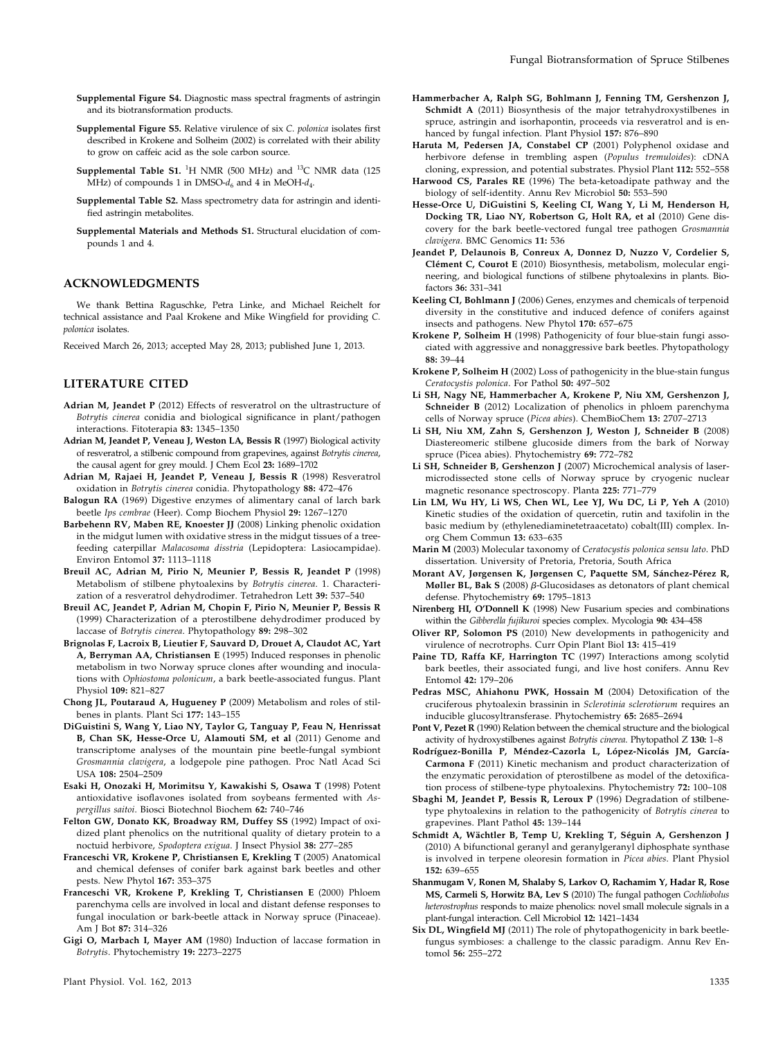- [Supplemental Figure S4.](http://www.plantphysiol.org/cgi/content/full/pp.113.218610/DC1) Diagnostic mass spectral fragments of astringin and its biotransformation products.
- [Supplemental Figure S5.](http://www.plantphysiol.org/cgi/content/full/pp.113.218610/DC1) Relative virulence of six C. polonica isolates first described in Krokene and Solheim (2002) is correlated with their ability to grow on caffeic acid as the sole carbon source.
- **[Supplemental Table S1.](http://www.plantphysiol.org/cgi/content/full/pp.113.218610/DC1)** <sup>1</sup>H NMR (500 MHz) and <sup>13</sup>C NMR data (125 MHz) of compounds 1 in DMSO- $d_6$  and 4 in MeOH- $d_4$ .
- [Supplemental Table S2.](http://www.plantphysiol.org/cgi/content/full/pp.113.218610/DC1) Mass spectrometry data for astringin and identified astringin metabolites.
- [Supplemental Materials and Methods S1.](http://www.plantphysiol.org/cgi/content/full/pp.113.218610/DC1) Structural elucidation of compounds 1 and 4.

#### ACKNOWLEDGMENTS

We thank Bettina Raguschke, Petra Linke, and Michael Reichelt for technical assistance and Paal Krokene and Mike Wingfield for providing C. polonica isolates.

Received March 26, 2013; accepted May 28, 2013; published June 1, 2013.

#### LITERATURE CITED

- Adrian M, Jeandet P (2012) Effects of resveratrol on the ultrastructure of Botrytis cinerea conidia and biological significance in plant/pathogen interactions. Fitoterapia 83: 1345–1350
- Adrian M, Jeandet P, Veneau J, Weston LA, Bessis R (1997) Biological activity of resveratrol, a stilbenic compound from grapevines, against Botrytis cinerea, the causal agent for grey mould. J Chem Ecol 23: 1689–1702
- Adrian M, Rajaei H, Jeandet P, Veneau J, Bessis R (1998) Resveratrol oxidation in Botrytis cinerea conidia. Phytopathology 88: 472–476
- Balogun RA (1969) Digestive enzymes of alimentary canal of larch bark beetle Ips cembrae (Heer). Comp Biochem Physiol 29: 1267–1270
- Barbehenn RV, Maben RE, Knoester JJ (2008) Linking phenolic oxidation in the midgut lumen with oxidative stress in the midgut tissues of a treefeeding caterpillar Malacosoma disstria (Lepidoptera: Lasiocampidae). Environ Entomol 37: 1113–1118
- Breuil AC, Adrian M, Pirio N, Meunier P, Bessis R, Jeandet P (1998) Metabolism of stilbene phytoalexins by Botrytis cinerea. 1. Characterization of a resveratrol dehydrodimer. Tetrahedron Lett 39: 537–540
- Breuil AC, Jeandet P, Adrian M, Chopin F, Pirio N, Meunier P, Bessis R (1999) Characterization of a pterostilbene dehydrodimer produced by laccase of Botrytis cinerea. Phytopathology 89: 298–302
- Brignolas F, Lacroix B, Lieutier F, Sauvard D, Drouet A, Claudot AC, Yart A, Berryman AA, Christiansen E (1995) Induced responses in phenolic metabolism in two Norway spruce clones after wounding and inoculations with Ophiostoma polonicum, a bark beetle-associated fungus. Plant Physiol 109: 821–827
- Chong JL, Poutaraud A, Hugueney P (2009) Metabolism and roles of stilbenes in plants. Plant Sci 177: 143–155
- DiGuistini S, Wang Y, Liao NY, Taylor G, Tanguay P, Feau N, Henrissat B, Chan SK, Hesse-Orce U, Alamouti SM, et al (2011) Genome and transcriptome analyses of the mountain pine beetle-fungal symbiont Grosmannia clavigera, a lodgepole pine pathogen. Proc Natl Acad Sci USA 108: 2504–2509
- Esaki H, Onozaki H, Morimitsu Y, Kawakishi S, Osawa T (1998) Potent antioxidative isoflavones isolated from soybeans fermented with Aspergillus saitoi. Biosci Biotechnol Biochem 62: 740–746
- Felton GW, Donato KK, Broadway RM, Duffey SS (1992) Impact of oxidized plant phenolics on the nutritional quality of dietary protein to a noctuid herbivore, Spodoptera exigua. J Insect Physiol 38: 277–285
- Franceschi VR, Krokene P, Christiansen E, Krekling T (2005) Anatomical and chemical defenses of conifer bark against bark beetles and other pests. New Phytol 167: 353–375
- Franceschi VR, Krokene P, Krekling T, Christiansen E (2000) Phloem parenchyma cells are involved in local and distant defense responses to fungal inoculation or bark-beetle attack in Norway spruce (Pinaceae). Am J Bot 87: 314–326
- Gigi O, Marbach I, Mayer AM (1980) Induction of laccase formation in Botrytis. Phytochemistry 19: 2273–2275
- Hammerbacher A, Ralph SG, Bohlmann J, Fenning TM, Gershenzon J, Schmidt A (2011) Biosynthesis of the major tetrahydroxystilbenes in spruce, astringin and isorhapontin, proceeds via resveratrol and is enhanced by fungal infection. Plant Physiol 157: 876–890
- Haruta M, Pedersen JA, Constabel CP (2001) Polyphenol oxidase and herbivore defense in trembling aspen (Populus tremuloides): cDNA cloning, expression, and potential substrates. Physiol Plant 112: 552–558
- Harwood CS, Parales RE (1996) The beta-ketoadipate pathway and the biology of self-identity. Annu Rev Microbiol 50: 553–590
- Hesse-Orce U, DiGuistini S, Keeling CI, Wang Y, Li M, Henderson H, Docking TR, Liao NY, Robertson G, Holt RA, et al (2010) Gene discovery for the bark beetle-vectored fungal tree pathogen Grosmannia clavigera. BMC Genomics 11: 536
- Jeandet P, Delaunois B, Conreux A, Donnez D, Nuzzo V, Cordelier S, Clément C, Courot E (2010) Biosynthesis, metabolism, molecular engineering, and biological functions of stilbene phytoalexins in plants. Biofactors 36: 331–341
- Keeling CI, Bohlmann J (2006) Genes, enzymes and chemicals of terpenoid diversity in the constitutive and induced defence of conifers against insects and pathogens. New Phytol 170: 657–675
- Krokene P, Solheim H (1998) Pathogenicity of four blue-stain fungi associated with aggressive and nonaggressive bark beetles. Phytopathology 88: 39–44
- Krokene P, Solheim H (2002) Loss of pathogenicity in the blue-stain fungus Ceratocystis polonica. For Pathol 50: 497–502
- Li SH, Nagy NE, Hammerbacher A, Krokene P, Niu XM, Gershenzon J, Schneider B (2012) Localization of phenolics in phloem parenchyma cells of Norway spruce (Picea abies). ChemBioChem 13: 2707–2713
- Li SH, Niu XM, Zahn S, Gershenzon J, Weston J, Schneider B (2008) Diastereomeric stilbene glucoside dimers from the bark of Norway spruce (Picea abies). Phytochemistry 69: 772–782
- Li SH, Schneider B, Gershenzon J (2007) Microchemical analysis of lasermicrodissected stone cells of Norway spruce by cryogenic nuclear magnetic resonance spectroscopy. Planta 225: 771–779
- Lin LM, Wu HY, Li WS, Chen WL, Lee YJ, Wu DC, Li P, Yeh A (2010) Kinetic studies of the oxidation of quercetin, rutin and taxifolin in the basic medium by (ethylenediaminetetraacetato) cobalt(III) complex. Inorg Chem Commun 13: 633–635
- Marin M (2003) Molecular taxonomy of Ceratocystis polonica sensu lato. PhD dissertation. University of Pretoria, Pretoria, South Africa
- Morant AV, Jørgensen K, Jørgensen C, Paquette SM, Sánchez-Pérez R, Møller BL, Bak S (2008)  $\beta$ -Glucosidases as detonators of plant chemical defense. Phytochemistry 69: 1795–1813
- Nirenberg HI, O'Donnell K (1998) New Fusarium species and combinations within the Gibberella fujikuroi species complex. Mycologia 90: 434–458
- Oliver RP, Solomon PS (2010) New developments in pathogenicity and virulence of necrotrophs. Curr Opin Plant Biol 13: 415–419
- Paine TD, Raffa KF, Harrington TC (1997) Interactions among scolytid bark beetles, their associated fungi, and live host conifers. Annu Rev Entomol 42: 179–206
- Pedras MSC, Ahiahonu PWK, Hossain M (2004) Detoxification of the cruciferous phytoalexin brassinin in Sclerotinia sclerotiorum requires an inducible glucosyltransferase. Phytochemistry 65: 2685–2694
- Pont V, Pezet R (1990) Relation between the chemical structure and the biological activity of hydroxystilbenes against Botrytis cinerea. Phytopathol Z 130: 1-8
- Rodríguez-Bonilla P, Méndez-Cazorla L, López-Nicolás JM, García-Carmona F (2011) Kinetic mechanism and product characterization of the enzymatic peroxidation of pterostilbene as model of the detoxification process of stilbene-type phytoalexins. Phytochemistry 72: 100–108
- Sbaghi M, Jeandet P, Bessis R, Leroux P (1996) Degradation of stilbenetype phytoalexins in relation to the pathogenicity of Botrytis cinerea to grapevines. Plant Pathol 45: 139–144
- Schmidt A, Wächtler B, Temp U, Krekling T, Séguin A, Gershenzon J (2010) A bifunctional geranyl and geranylgeranyl diphosphate synthase is involved in terpene oleoresin formation in Picea abies. Plant Physiol 152: 639–655
- Shanmugam V, Ronen M, Shalaby S, Larkov O, Rachamim Y, Hadar R, Rose MS, Carmeli S, Horwitz BA, Lev S (2010) The fungal pathogen Cochliobolus heterostrophus responds to maize phenolics: novel small molecule signals in a plant-fungal interaction. Cell Microbiol 12: 1421–1434
- Six DL, Wingfield MJ (2011) The role of phytopathogenicity in bark beetlefungus symbioses: a challenge to the classic paradigm. Annu Rev Entomol 56: 255–272